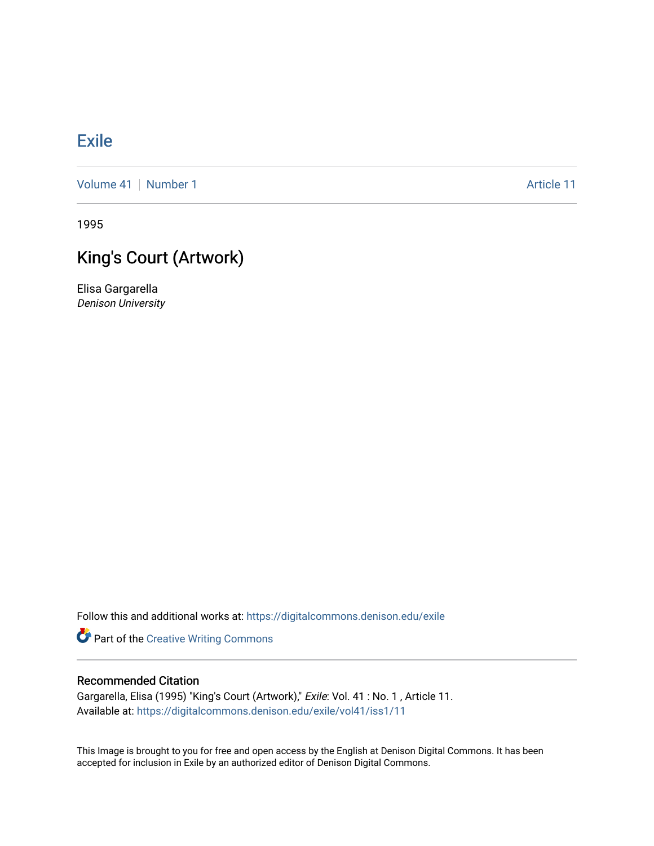# [Exile](https://digitalcommons.denison.edu/exile)

[Volume 41](https://digitalcommons.denison.edu/exile/vol41) [Number 1](https://digitalcommons.denison.edu/exile/vol41/iss1) Article 11

1995

# King's Court (Artwork)

Elisa Gargarella Denison University

Follow this and additional works at: [https://digitalcommons.denison.edu/exile](https://digitalcommons.denison.edu/exile?utm_source=digitalcommons.denison.edu%2Fexile%2Fvol41%2Fiss1%2F11&utm_medium=PDF&utm_campaign=PDFCoverPages) 

**Part of the Creative Writing Commons** 

## Recommended Citation

Gargarella, Elisa (1995) "King's Court (Artwork)," Exile: Vol. 41 : No. 1 , Article 11. Available at: [https://digitalcommons.denison.edu/exile/vol41/iss1/11](https://digitalcommons.denison.edu/exile/vol41/iss1/11?utm_source=digitalcommons.denison.edu%2Fexile%2Fvol41%2Fiss1%2F11&utm_medium=PDF&utm_campaign=PDFCoverPages)

This Image is brought to you for free and open access by the English at Denison Digital Commons. It has been accepted for inclusion in Exile by an authorized editor of Denison Digital Commons.